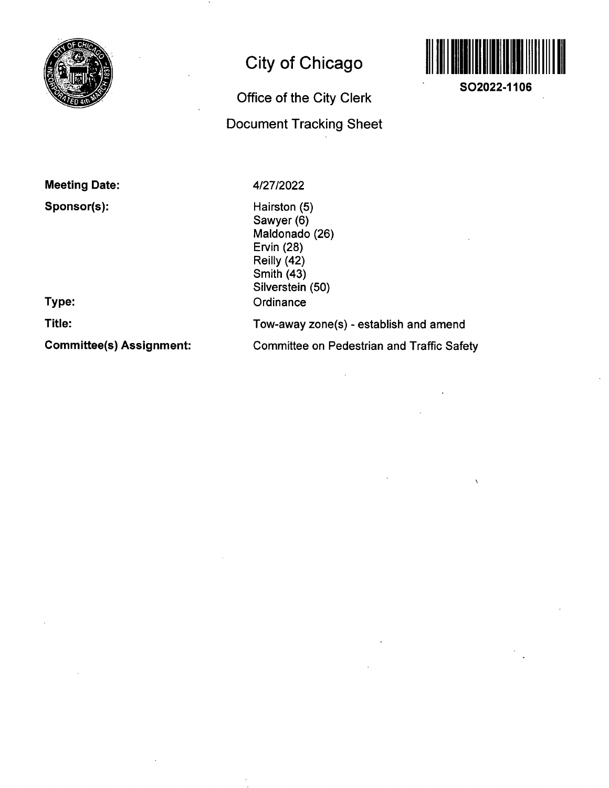

# **City of Chicago**

## **Office of the City Clerk Document Tracking Sheet**



**SO2022-1106** 

**Meeting Date:** 

**Sponsor(s):** 

4/27/2022

Hairston (5) Sawyer (6) Maldonado (26) Ervin (28) Reilly (42) Smith (43) Silverstein (50) **Ordinance** Tow-away zone(s) - establish and amend Committee on Pedestrian and Traffic Safety

**Type:** 

**Title:** 

**Committee(s) Assignment:**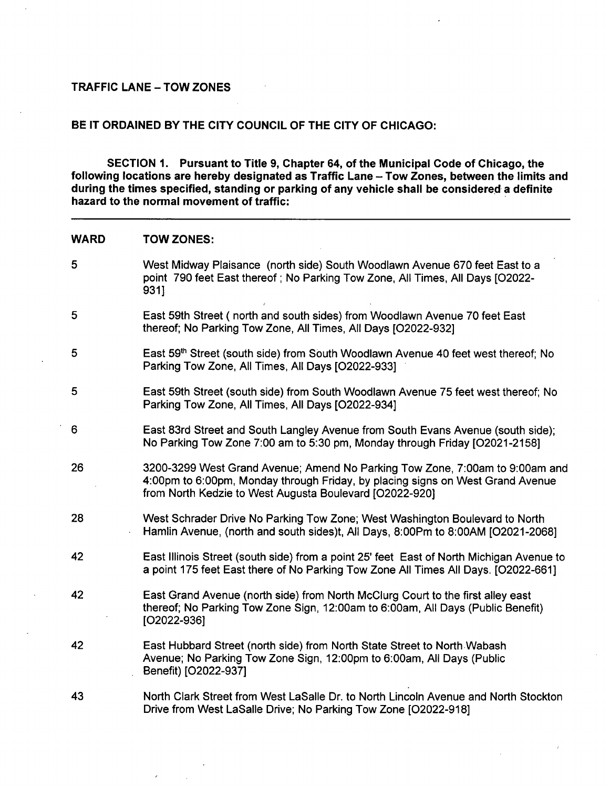#### **TRAFFIC LANE - TOW ZONES**

#### **BE IT ORDAINED BY THE CITY COUNCIL OF THE CITY OF CHICAGO:**

**SECTION 1. Pursuant to Title 9, Chapter 64, of the Municipal Code of Chicago, the**  following locations are hereby designated as Traffic Lane - Tow Zones, between the limits and **during the times specified, standing or parking ofany vehicle shall be considered a definite hazard to the normal movement of traffic:** 

#### **WARD TOW ZONES:**

5 West Midway Plaisance (north side) South Woodlawn Avenue 670 feet East to a point 790 feet East thereof; No Parking Tow Zone, All Times, All Days [O2022- 931] 5 East 59th Street ( north and south sides) from Woodlawn Avenue 70 feet East thereof; No Parking Tow Zone, All Times, All Days [02022-932] 5 **East 59<sup>th</sup> Street (south side) from South Woodlawn Avenue 40 feet west thereof; No** Parking Tow Zone, All Times, All Days [02022-933] 5 East 59th Street (south side) from South Woodlawn Avenue 75 feet west thereof; No Parking Tow Zone, All Times, All Days [02022-934] 6 East 83rd Street and South Langley Avenue from South Evans Avenue (south side); No Parking Tow Zone 7:00 am to 5:30 pm, Monday through Friday [02021-2158] 26 3200-3299 West Grand Avenue; Amend No Parking Tow Zone, 7:00am to 9:00am and 4:00pm to 6:00pm, Monday through Friday, by placing signs on West Grand Avenue from North Kedzie to West Augusta Boulevard [O2022-920] 28 West Schrader Drive No Parking Tow Zone; West Washington Boulevard to North Hamlin Avenue, (north and south sides)t. All Days, 8:00Pm to 8:00AM [02021-2068] 42 East Illinois Street (south side) from a point 25' feet East of North Michigan Avenue to a point 175 feet East there of No Parking Tow Zone All Times All Days. [02022-661] 42 East Grand Avenue (north side) from North McClurg Court to the first alley east thereof; No Parking Tow Zone Sign, 12:00am to 6:00am, All Days (Public Benefit) [02022-936] 42 East Hubbard Street (north side) from North State Street to North Wabash Avenue; No Parking Tow Zone Sign, 12:00pm to 6:00am, All Days (Public Benefit) [02022-937] 43 North Clark Street from West LaSalle Dr. to North Lincoln Avenue and North Stockton Drive from West LaSalle Drive; No Parking Tow Zone [02022-918]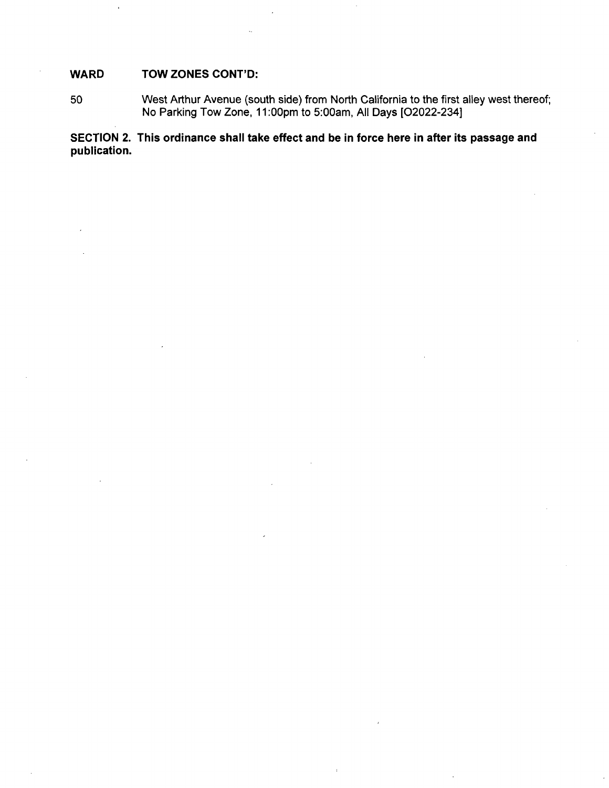### **WARD TOW ZONES CONT'D:**

50 West Arthur Avenue (south side) from North California to the first alley west thereof; No Parking Tow Zone, 11:00pm to 5:00am, All Days [02022-234]

**SECTION 2. This ordinance shall take effect and be in force here in after its passage and publication.**